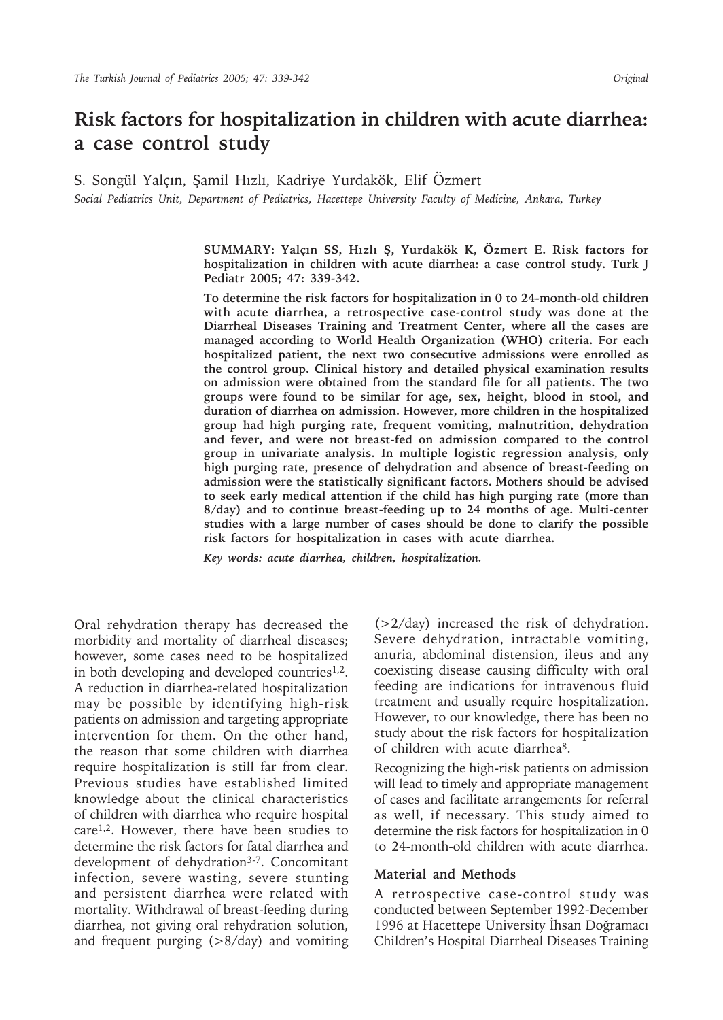# **Risk factors for hospitalization in children with acute diarrhea: a case control study**

S. Songül Yalçın, Şamil Hızlı, Kadriye Yurdakök, Elif Özmert *Social Pediatrics Unit, Department of Pediatrics, Hacettepe University Faculty of Medicine, Ankara, Turkey*

> **SUMMARY: Yalçın SS, Hızlı Ş, Yurdakök K, Özmert E. Risk factors for hospitalization in children with acute diarrhea: a case control study. Turk J Pediatr 2005; 47: 339-342.**

> **To determine the risk factors for hospitalization in 0 to 24-month-old children with acute diarrhea, a retrospective case-control study was done at the Diarrheal Diseases Training and Treatment Center, where all the cases are managed according to World Health Organization (WHO) criteria. For each hospitalized patient, the next two consecutive admissions were enrolled as the control group. Clinical history and detailed physical examination results on admission were obtained from the standard file for all patients. The two groups were found to be similar for age, sex, height, blood in stool, and duration of diarrhea on admission. However, more children in the hospitalized group had high purging rate, frequent vomiting, malnutrition, dehydration and fever, and were not breast-fed on admission compared to the control group in univariate analysis. In multiple logistic regression analysis, only high purging rate, presence of dehydration and absence of breast-feeding on admission were the statistically significant factors. Mothers should be advised to seek early medical attention if the child has high purging rate (more than 8/day) and to continue breast-feeding up to 24 months of age. Multi-center studies with a large number of cases should be done to clarify the possible risk factors for hospitalization in cases with acute diarrhea.**

*Key words: acute diarrhea, children, hospitalization.*

Oral rehydration therapy has decreased the morbidity and mortality of diarrheal diseases; however, some cases need to be hospitalized in both developing and developed countries<sup>1,2</sup>. A reduction in diarrhea-related hospitalization may be possible by identifying high-risk patients on admission and targeting appropriate intervention for them. On the other hand, the reason that some children with diarrhea require hospitalization is still far from clear. Previous studies have established limited knowledge about the clinical characteristics of children with diarrhea who require hospital care1,2. However, there have been studies to determine the risk factors for fatal diarrhea and development of dehydration<sup>3-7</sup>. Concomitant infection, severe wasting, severe stunting and persistent diarrhea were related with mortality. Withdrawal of breast-feeding during diarrhea, not giving oral rehydration solution, and frequent purging  $(>\frac{8}{day})$  and vomiting

(>2/day) increased the risk of dehydration. Severe dehydration, intractable vomiting, anuria, abdominal distension, ileus and any coexisting disease causing difficulty with oral feeding are indications for intravenous fluid treatment and usually require hospitalization. However, to our knowledge, there has been no study about the risk factors for hospitalization of children with acute diarrhea8.

Recognizing the high-risk patients on admission will lead to timely and appropriate management of cases and facilitate arrangements for referral as well, if necessary. This study aimed to determine the risk factors for hospitalization in 0 to 24-month-old children with acute diarrhea.

### **Material and Methods**

A retrospective case-control study was conducted between September 1992-December 1996 at Hacettepe University İhsan Doğramacı Children's Hospital Diarrheal Diseases Training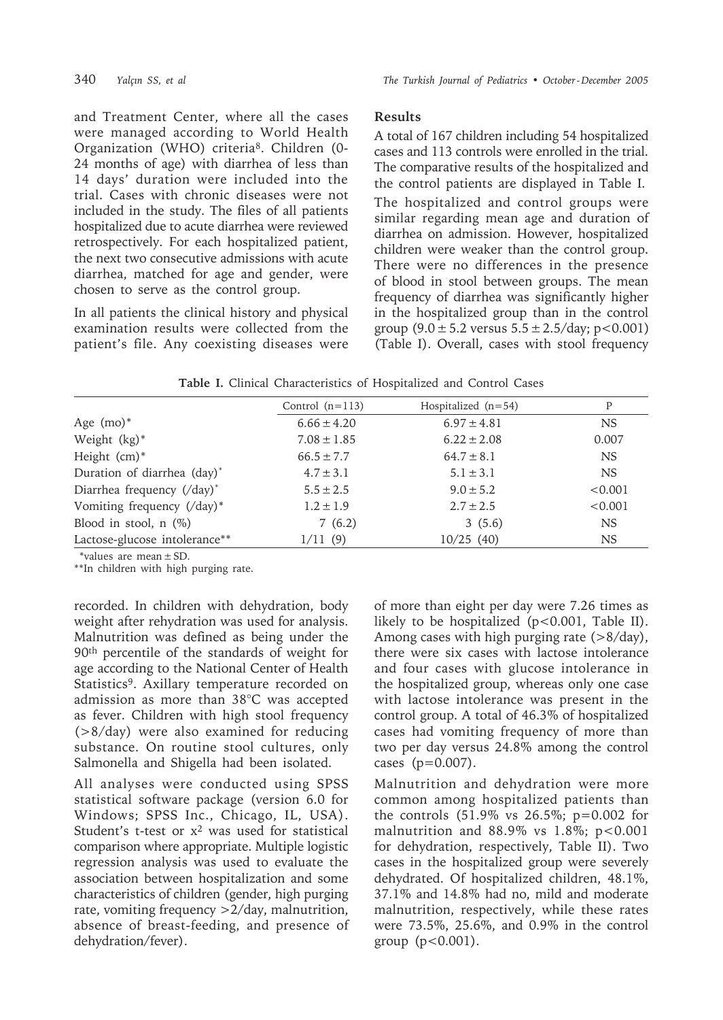and Treatment Center, where all the cases were managed according to World Health Organization (WHO) criteria8. Children (0- 24 months of age) with diarrhea of less than 14 days' duration were included into the trial. Cases with chronic diseases were not included in the study. The files of all patients hospitalized due to acute diarrhea were reviewed retrospectively. For each hospitalized patient, the next two consecutive admissions with acute diarrhea, matched for age and gender, were chosen to serve as the control group.

In all patients the clinical history and physical examination results were collected from the patient's file. Any coexisting diseases were

## **Results**

A total of 167 children including 54 hospitalized cases and 113 controls were enrolled in the trial. The comparative results of the hospitalized and the control patients are displayed in Table I. The hospitalized and control groups were similar regarding mean age and duration of diarrhea on admission. However, hospitalized children were weaker than the control group. There were no differences in the presence of blood in stool between groups. The mean frequency of diarrhea was significantly higher in the hospitalized group than in the control group  $(9.0 \pm 5.2 \text{ versus } 5.5 \pm 2.5/\text{day}; \text{p} < 0.001)$ (Table I). Overall, cases with stool frequency

| <b>Table I.</b> Clinical Characteristics of Hospitalized and Control Cases |  |  |  |  |
|----------------------------------------------------------------------------|--|--|--|--|
|                                                                            |  |  |  |  |

|                               | Control $(n=113)$ | Hospitalized $(n=54)$ | P         |
|-------------------------------|-------------------|-----------------------|-----------|
| Age $(mo)^*$                  | $6.66 \pm 4.20$   | $6.97 \pm 4.81$       | NS.       |
| Weight $(kg)^*$               | $7.08 \pm 1.85$   | $6.22 \pm 2.08$       | 0.007     |
| Height $(cm)*$                | $66.5 \pm 7.7$    | $64.7 \pm 8.1$        | <b>NS</b> |
| Duration of diarrhea (day)*   | $4.7 \pm 3.1$     | $5.1 \pm 3.1$         | <b>NS</b> |
| Diarrhea frequency (/day)*    | $5.5 \pm 2.5$     | $9.0 \pm 5.2$         | < 0.001   |
| Vomiting frequency (/day)*    | $1.2 \pm 1.9$     | $2.7 \pm 2.5$         | < 0.001   |
| Blood in stool, $n$ $(\%)$    | 7(6.2)            | 3(5.6)                | <b>NS</b> |
| Lactose-glucose intolerance** | 1/11(9)           | 10/25(40)             | <b>NS</b> |

\*values are mean±SD.

\*\*In children with high purging rate.

recorded. In children with dehydration, body weight after rehydration was used for analysis. Malnutrition was defined as being under the 90th percentile of the standards of weight for age according to the National Center of Health Statistics<sup>9</sup>. Axillary temperature recorded on admission as more than 38°C was accepted as fever. Children with high stool frequency (>8/day) were also examined for reducing substance. On routine stool cultures, only Salmonella and Shigella had been isolated.

All analyses were conducted using SPSS statistical software package (version 6.0 for Windows; SPSS Inc., Chicago, IL, USA). Student's t-test or  $x^2$  was used for statistical comparison where appropriate. Multiple logistic regression analysis was used to evaluate the association between hospitalization and some characteristics of children (gender, high purging rate, vomiting frequency >2/day, malnutrition, absence of breast-feeding, and presence of dehydration/fever).

of more than eight per day were 7.26 times as likely to be hospitalized (p<0.001, Table II). Among cases with high purging rate (>8/day), there were six cases with lactose intolerance and four cases with glucose intolerance in the hospitalized group, whereas only one case with lactose intolerance was present in the control group. A total of 46.3% of hospitalized cases had vomiting frequency of more than two per day versus 24.8% among the control cases  $(p=0.007)$ .

Malnutrition and dehydration were more common among hospitalized patients than the controls (51.9% vs 26.5%; p=0.002 for malnutrition and  $88.9\%$  vs  $1.8\%$ ; p<0.001 for dehydration, respectively, Table II). Two cases in the hospitalized group were severely dehydrated. Of hospitalized children, 48.1%, 37.1% and 14.8% had no, mild and moderate malnutrition, respectively, while these rates were 73.5%, 25.6%, and 0.9% in the control group  $(p < 0.001)$ .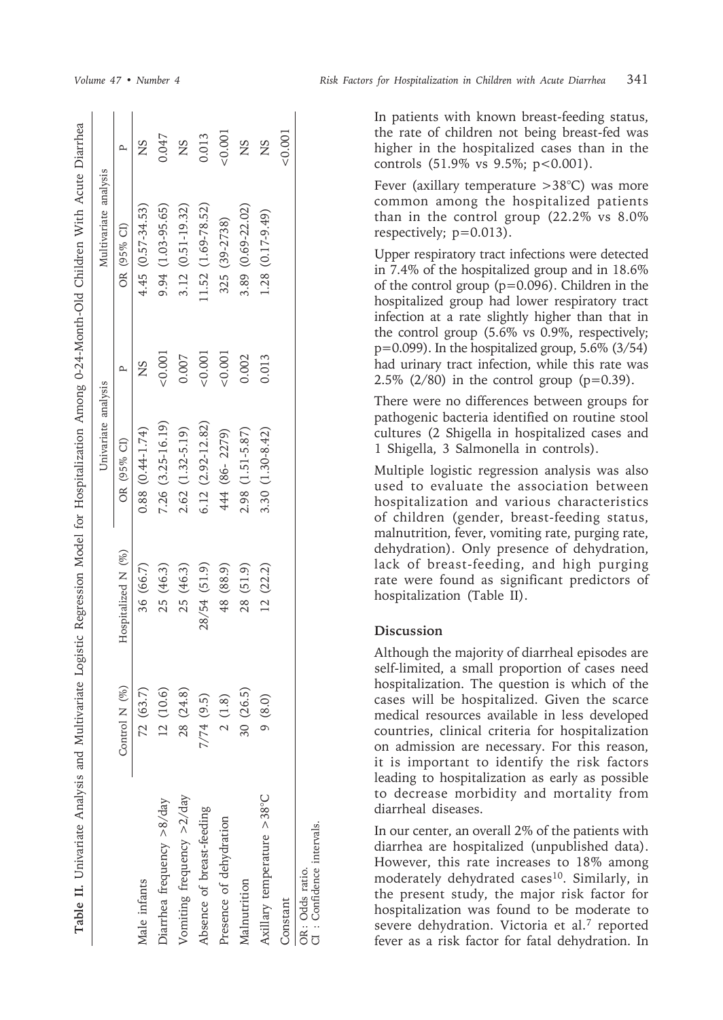|                                               |               |                    | Univariate analysis    |              | Multivariate analysis |              |
|-----------------------------------------------|---------------|--------------------|------------------------|--------------|-----------------------|--------------|
|                                               | Control N (%) | Hospitalized N (%) | OR (95% CI)            | $\mathbf{a}$ | OR (95% CI)           | $\mathbf{a}$ |
| Male infants                                  | 72(63.7)      | 36 (66.7)          | $0.88$ $(0.44-1.74)$   | SN           | $4.45(0.57-34.53)$    | SN           |
| Diarrhea frequency $> 8$ /day                 | 12(10.6)      | 25 (46.3)          | 7.26 (3.25-16.19)      | 0.001        | 9.94 (1.03-95.65)     | 0.047        |
| Vomiting frequency >2/day                     | 28 (24.8)     | 25 (46.3)          | $2.62$ $(1.32 - 5.19)$ | 0.007        | 3.12 (0.51-19.32)     | SN           |
| Absence of breast-feeding                     | $7/74$ (9.5)  | 28/54 (51.9)       | $6.12(2.92 - 12.82)$   | 0.001        | 1.52 (1.69-78.52)     | 0.013        |
| Presence of dehydration                       | 2(1.8)        | 48 (88.9)          | 444 (86-2279)          | 0.001        | 325 (39-2738)         | < 0.001      |
| Malnutrition                                  | 30(26.5)      | 28 (51.9)          | 2.98 (1.51-5.87)       | 0.002        | 3.89 (0.69-22.02)     | <b>SN</b>    |
| Axillary temperature >38°C                    | 9(8.0)        | 12(22.2)           | 3.30 (1.30-8.42)       | 0.013        | 1.28 (0.17-9.49)      | SN           |
| Constant                                      |               |                    |                        |              |                       | 20.001       |
| CI : Confidence intervals.<br>OR: Odds ratio. |               |                    |                        |              |                       |              |

In patients with known breast-feeding status, the rate of children not being breast-fed was higher in the hospitalized cases than in the controls (51.9% vs 9.5%; p<0.001).

Fever (axillary temperature >38°C) was more common among the hospitalized patients than in the control group (22.2% vs 8.0% respectively; p=0.013).

Upper respiratory tract infections were detected in 7.4% of the hospitalized group and in 18.6% of the control group (p=0.096). Children in the hospitalized group had lower respiratory tract infection at a rate slightly higher than that in the control group (5.6% vs 0.9%, respectively;  $p=0.099$ ). In the hospitalized group, 5.6% (3/54) had urinary tract infection, while this rate was 2.5% (2/80) in the control group ( $p=0.39$ ).

There were no differences between groups for pathogenic bacteria identified on routine stool cultures (2 Shigella in hospitalized cases and 1 Shigella, 3 Salmonella in controls).

Multiple logistic regression analysis was also used to evaluate the association between hospitalization and various characteristics of children (gender, breast-feeding status, malnutrition, fever, vomiting rate, purging rate, dehydration). Only presence of dehydration, lack of breast-feeding, and high purging rate were found as significant predictors of hospitalization (Table II).

## **Discussion**

Although the majority of diarrheal episodes are self-limited, a small proportion of cases need hospitalization. The question is which of the cases will be hospitalized. Given the scarce medical resources available in less developed countries, clinical criteria for hospitalization on admission are necessary. For this reason, it is important to identify the risk factors leading to hospitalization as early as possible to decrease morbidity and mortality from diarrheal diseases.

In our center, an overall 2% of the patients with diarrhea are hospitalized (unpublished data). However, this rate increases to 18% among moderately dehydrated cases<sup>10</sup>. Similarly, in the present study, the major risk factor for hospitalization was found to be moderate to severe dehydration. Victoria et al.7 reported fever as a risk factor for fatal dehydration. In